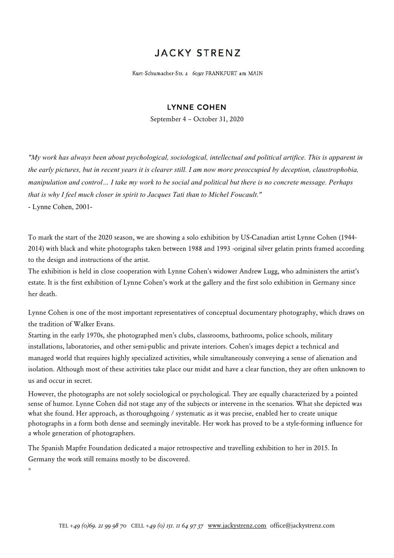## **JACKY STRENZ**

Kurt-Schumacher-Str. 2 60311 FRANKFURT am MAIN

## LYNNE COHEN

September 4 – October 31, 2020

*"My work has always been about psychological, sociological, intellectual and political artifice. This is apparent in the early pictures, but in recent years it is clearer still. I am now more preoccupied by deception, claustrophobia, manipulation and control… I take my work to be social and political but there is no concrete message. Perhaps that is why I feel much closer in spirit to Jacques Tati than to Michel Foucault."*

- Lynne Cohen, 2001-

\*

To mark the start of the 2020 season, we are showing a solo exhibition by US-Canadian artist Lynne Cohen (1944- 2014) with black and white photographs taken between 1988 and 1993 -original silver gelatin prints framed according to the design and instructions of the artist.

The exhibition is held in close cooperation with Lynne Cohen's widower Andrew Lugg, who administers the artist's estate. It is the first exhibition of Lynne Cohen's work at the gallery and the first solo exhibition in Germany since her death.

Lynne Cohen is one of the most important representatives of conceptual documentary photography, which draws on the tradition of Walker Evans.

Starting in the early 1970s, she photographed men's clubs, classrooms, bathrooms, police schools, military installations, laboratories, and other semi-public and private interiors. Cohen's images depict a technical and managed world that requires highly specialized activities, while simultaneously conveying a sense of alienation and isolation. Although most of these activities take place our midst and have a clear function, they are often unknown to us and occur in secret.

However, the photographs are not solely sociological or psychological. They are equally characterized by a pointed sense of humor. Lynne Cohen did not stage any of the subjects or intervene in the scenarios. What she depicted was what she found. Her approach, as thoroughgoing / systematic as it was precise, enabled her to create unique photographs in a form both dense and seemingly inevitable. Her work has proved to be a style-forming influence for a whole generation of photographers.

The Spanish Mapfre Foundation dedicated a major retrospective and travelling exhibition to her in 2015. In Germany the work still remains mostly to be discovered.

TEL +*49 (0)69. 21 99 98 70* CELL +*49 (0) 151. 11 64 97 37* www.jackystrenz.com office@jackystrenz.com